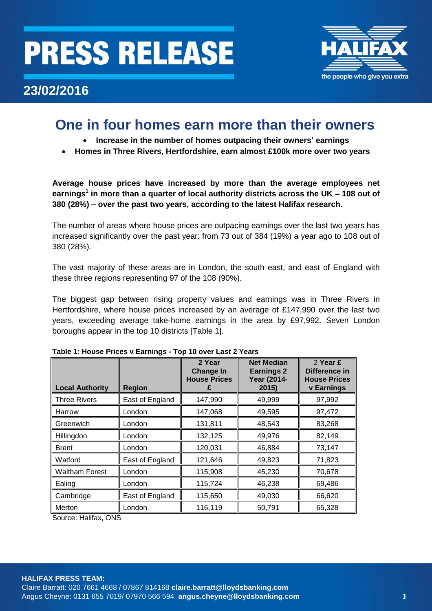# **PRESS RELEASE**



## **23/02/2016**

## **One in four homes earn more than their owners**

- **Increase in the number of homes outpacing their owners' earnings**
- **Homes in Three Rivers, Hertfordshire, earn almost £100k more over two years**

**Average house prices have increased by more than the average employees net earnings<sup>1</sup> in more than a quarter of local authority districts across the UK – 108 out of 380 (28%) – over the past two years, according to the latest Halifax research.**

The number of areas where house prices are outpacing earnings over the last two years has increased significantly over the past year: from 73 out of 384 (19%) a year ago to 108 out of 380 (28%).

The vast majority of these areas are in London, the south east, and east of England with these three regions representing 97 of the 108 (90%).

The biggest gap between rising property values and earnings was in Three Rivers in Hertfordshire, where house prices increased by an average of £147,990 over the last two years, exceeding average take-home earnings in the area by £97,992. Seven London boroughs appear in the top 10 districts [Table 1].

| <b>Local Authority</b> | <b>Region</b>   | 2 Year<br><b>Change In</b><br><b>House Prices</b> | <b>Net Median</b><br><b>Earnings 2</b><br><b>Year (2014-</b><br>2015) | 2 Year £<br>Difference in<br><b>House Prices</b><br><b>v</b> Earnings |
|------------------------|-----------------|---------------------------------------------------|-----------------------------------------------------------------------|-----------------------------------------------------------------------|
| <b>Three Rivers</b>    | East of England | 147,990                                           | 49,999                                                                | 97,992                                                                |
| Harrow                 | London          | 147,068                                           | 49,595                                                                | 97,472                                                                |
| Greenwich              | London          | 131,811                                           | 48,543                                                                | 83,268                                                                |
| Hillingdon             | London          | 132,125                                           | 49,976                                                                | 82,149                                                                |
| Brent                  | London          | 120,031                                           | 46,884                                                                | 73,147                                                                |
| Watford                | East of England | 121,646                                           | 49,823                                                                | 71,823                                                                |
| <b>Waltham Forest</b>  | London          | 115,908                                           | 45,230                                                                | 70,678                                                                |
| Ealing                 | London          | 115,724                                           | 46,238                                                                | 69,486                                                                |
| Cambridge              | East of England | 115,650                                           | 49,030                                                                | 66,620                                                                |
| Merton                 | London          | 116,119                                           | 50,791                                                                | 65,328                                                                |

### **Table 1: House Prices v Earnings - Top 10 over Last 2 Years**

Source: Halifax, ONS

Claire Barratt: 020 7661 4668 / 07867 814168 **[claire.barratt@lloydsbanking.com](mailto:claire.barratt@lloydsbanking.com)** Angus Cheyne: [0131 655 7019/](http://colleaguedirectory.intranet.group/Pages/peopleresults.aspx?k=%220131%20655%207019%22) 07970 566 594 **[angus.cheyne@lloydsbanking.com](mailto:anguscheyne@lloydsbanking.com) 1**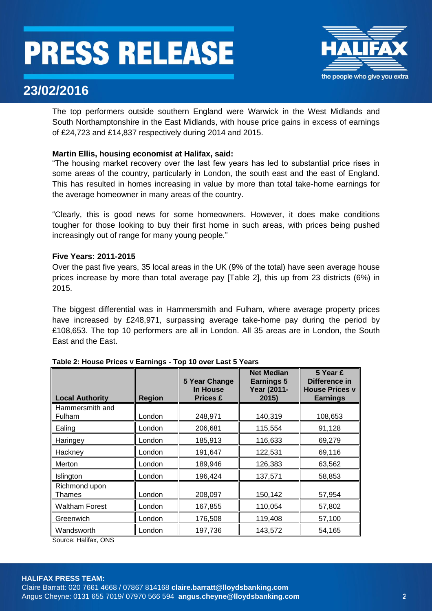# **PRESS RELEASE**



## **23/02/2016**

The top performers outside southern England were Warwick in the West Midlands and South Northamptonshire in the East Midlands, with house price gains in excess of earnings of £24,723 and £14,837 respectively during 2014 and 2015.

### **Martin Ellis, housing economist at Halifax, said:**

"The housing market recovery over the last few years has led to substantial price rises in some areas of the country, particularly in London, the south east and the east of England. This has resulted in homes increasing in value by more than total take-home earnings for the average homeowner in many areas of the country.

"Clearly, this is good news for some homeowners. However, it does make conditions tougher for those looking to buy their first home in such areas, with prices being pushed increasingly out of range for many young people."

### **Five Years: 2011-2015**

Over the past five years, 35 local areas in the UK (9% of the total) have seen average house prices increase by more than total average pay [Table 2], this up from 23 districts (6%) in 2015.

The biggest differential was in Hammersmith and Fulham, where average property prices have increased by £248,971, surpassing average take-home pay during the period by £108,653. The top 10 performers are all in London. All 35 areas are in London, the South East and the East.

| <b>Local Authority</b>         | <b>Region</b> | 5 Year Change<br>In House<br><b>Prices £</b> | <b>Net Median</b><br><b>Earnings 5</b><br><b>Year (2011-</b><br>2015) | 5 Year £<br>Difference in<br><b>House Prices v</b><br><b>Earnings</b> |
|--------------------------------|---------------|----------------------------------------------|-----------------------------------------------------------------------|-----------------------------------------------------------------------|
| Hammersmith and<br>Fulham      | London        | 248,971                                      | 140,319                                                               | 108,653                                                               |
| Ealing                         | London        | 206,681                                      | 115,554                                                               | 91,128                                                                |
| Haringey                       | London        | 185,913                                      | 116,633                                                               | 69,279                                                                |
| Hackney                        | London        | 191,647                                      | 122,531                                                               | 69,116                                                                |
| Merton                         | London        | 189,946                                      | 126,383                                                               | 63,562                                                                |
| Islington                      | London        | 196,424                                      | 137,571                                                               | 58,853                                                                |
| Richmond upon<br><b>Thames</b> | London        | 208,097                                      | 150,142                                                               | 57,954                                                                |
| Waltham Forest                 | London        | 167,855                                      | 110,054                                                               | 57,802                                                                |
| Greenwich                      | London        | 176,508                                      | 119,408                                                               | 57,100                                                                |
| Wandsworth                     | London        | 197,736                                      | 143,572                                                               | 54,165                                                                |

Source: Halifax, ONS

### **HALIFAX PRESS TEAM:**

Claire Barratt: 020 7661 4668 / 07867 814168 **[claire.barratt@lloydsbanking.com](mailto:claire.barratt@lloydsbanking.com)** Angus Cheyne: [0131 655 7019/](http://colleaguedirectory.intranet.group/Pages/peopleresults.aspx?k=%220131%20655%207019%22) 07970 566 594 **[angus.cheyne@lloydsbanking.com](mailto:anguscheyne@lloydsbanking.com) 2**